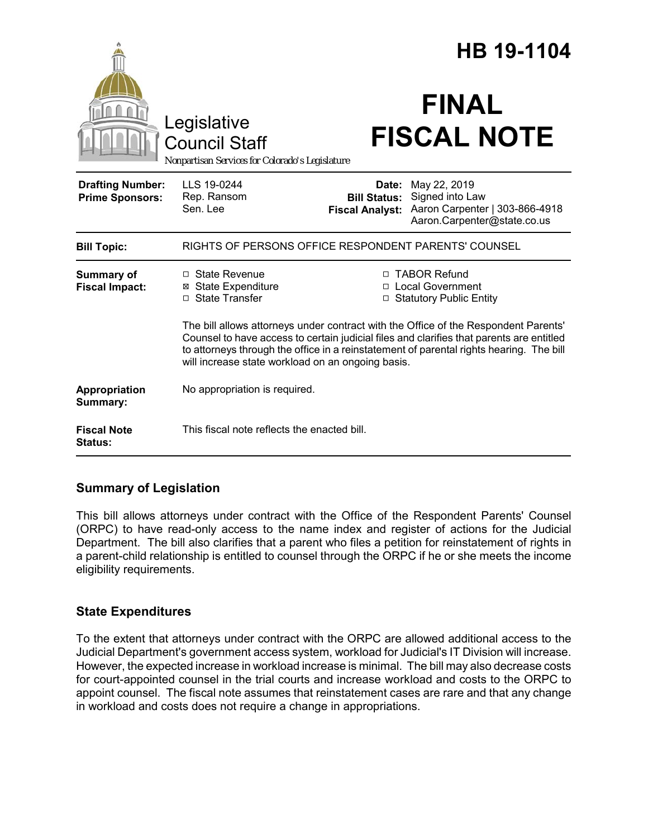|                                                   |                                                                                                                                                                                                                                                                                                                                 |                                                               | HB 19-1104                                                                                       |  |
|---------------------------------------------------|---------------------------------------------------------------------------------------------------------------------------------------------------------------------------------------------------------------------------------------------------------------------------------------------------------------------------------|---------------------------------------------------------------|--------------------------------------------------------------------------------------------------|--|
|                                                   | Legislative<br><b>Council Staff</b><br>Nonpartisan Services for Colorado's Legislature                                                                                                                                                                                                                                          |                                                               | <b>FINAL</b><br><b>FISCAL NOTE</b>                                                               |  |
| <b>Drafting Number:</b><br><b>Prime Sponsors:</b> | LLS 19-0244<br>Rep. Ransom<br>Sen. Lee                                                                                                                                                                                                                                                                                          | <b>Date:</b><br><b>Bill Status:</b><br><b>Fiscal Analyst:</b> | May 22, 2019<br>Signed into Law<br>Aaron Carpenter   303-866-4918<br>Aaron.Carpenter@state.co.us |  |
| <b>Bill Topic:</b>                                | RIGHTS OF PERSONS OFFICE RESPONDENT PARENTS' COUNSEL                                                                                                                                                                                                                                                                            |                                                               |                                                                                                  |  |
| Summary of<br><b>Fiscal Impact:</b>               | $\Box$ State Revenue<br><b>⊠</b> State Expenditure<br>□ State Transfer                                                                                                                                                                                                                                                          |                                                               | □ TABOR Refund<br>□ Local Government<br>□ Statutory Public Entity                                |  |
|                                                   | The bill allows attorneys under contract with the Office of the Respondent Parents'<br>Counsel to have access to certain judicial files and clarifies that parents are entitled<br>to attorneys through the office in a reinstatement of parental rights hearing. The bill<br>will increase state workload on an ongoing basis. |                                                               |                                                                                                  |  |
| Appropriation<br>Summary:                         | No appropriation is required.                                                                                                                                                                                                                                                                                                   |                                                               |                                                                                                  |  |
| <b>Fiscal Note</b><br>Status:                     | This fiscal note reflects the enacted bill.                                                                                                                                                                                                                                                                                     |                                                               |                                                                                                  |  |

## **Summary of Legislation**

This bill allows attorneys under contract with the Office of the Respondent Parents' Counsel (ORPC) to have read-only access to the name index and register of actions for the Judicial Department. The bill also clarifies that a parent who files a petition for reinstatement of rights in a parent-child relationship is entitled to counsel through the ORPC if he or she meets the income eligibility requirements.

## **State Expenditures**

To the extent that attorneys under contract with the ORPC are allowed additional access to the Judicial Department's government access system, workload for Judicial's IT Division will increase. However, the expected increase in workload increase is minimal. The bill may also decrease costs for court-appointed counsel in the trial courts and increase workload and costs to the ORPC to appoint counsel. The fiscal note assumes that reinstatement cases are rare and that any change in workload and costs does not require a change in appropriations.